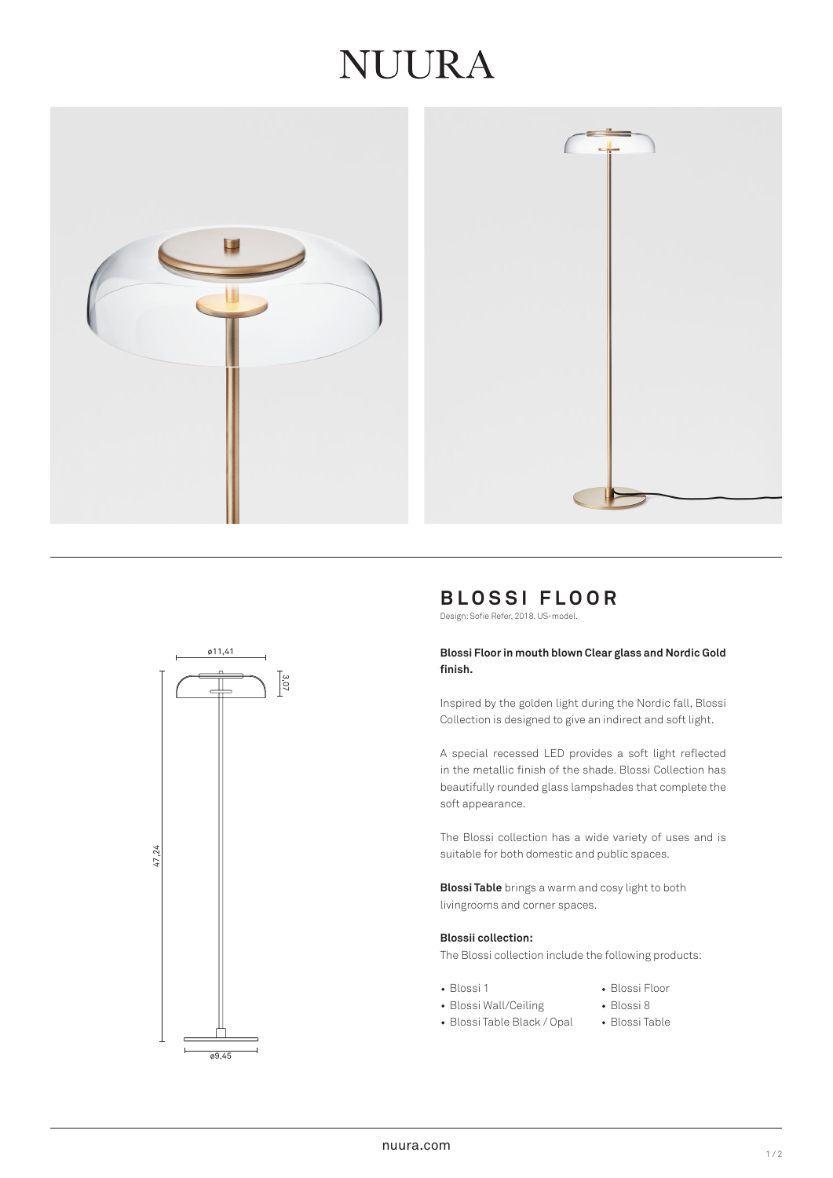# **JUURA**







# **BLOSSI FLOOR**

Design: Sofie Refer, 2018. US-model.

# **Blossi Floor in mouth blown Clear glass and Nordic Gold finish.**

Inspired by the golden light during the Nordic fall, Blossi Collection is designed to give an indirect and soft light.

A special recessed LED provides a soft light reflected in the metallic finish of the shade. Blossi Collection has beautifully rounded glass lampshades that complete the soft appearance.

The Blossi collection has a wide variety of uses and is suitable for both domestic and public spaces.

**Blossi Table** brings a warm and cosy light to both livingrooms and corner spaces.

### **Blossii collection:**

The Blossi collection include the following products:

- 
- Blossi 1 Blossi Floor
- Blossi Wall/Ceiling Blossi 8
- Blossi Table Black / Opal Blossi Table